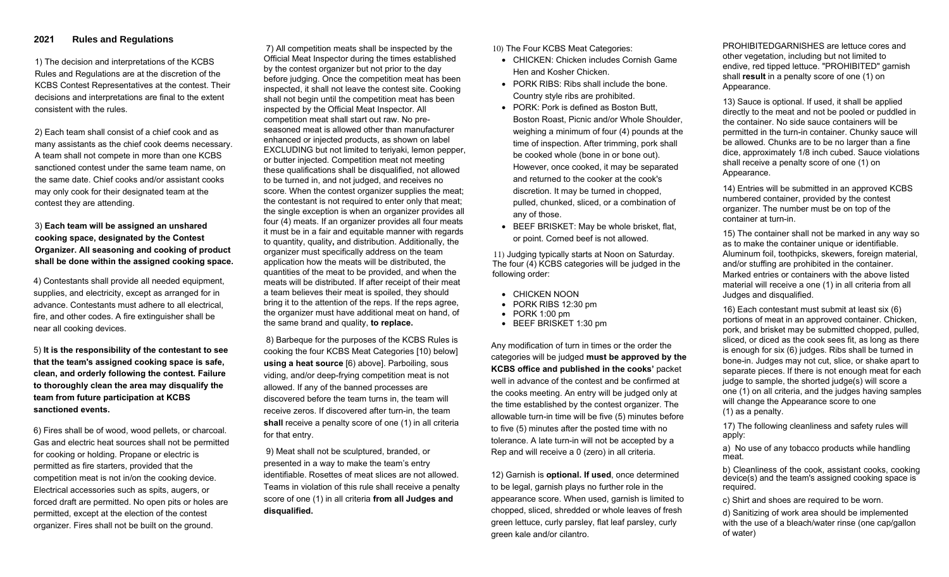## **2021 Rules and Regulations**

1) The decision and interpretations of the KCBS Rules and Regulations are at the discretion of the KCBS Contest Representatives at the contest. Their decisions and interpretations are final to the extent consistent with the rules.

2) Each team shall consist of a chief cook and as many assistants as the chief cook deems necessary. A team shall not compete in more than one KCBS sanctioned contest under the same team name, on the same date. Chief cooks and/or assistant cooks may only cook for their designated team at the contest they are attending.

3) **Each team will be assigned an unshared cooking space, designated by the Contest Organizer. All seasoning and cooking of product shall be done within the assigned cooking space.**

4) Contestants shall provide all needed equipment, supplies, and electricity, except as arranged for in advance. Contestants must adhere to all electrical, fire, and other codes. A fire extinguisher shall be near all cooking devices.

5) **It is the responsibility of the contestant to see that the team's assigned cooking space is safe, clean, and orderly following the contest. Failure to thoroughly clean the area may disqualify the team from future participation at KCBS sanctioned events.**

6) Fires shall be of wood, wood pellets, or charcoal. Gas and electric heat sources shall not be permitted for cooking or holding. Propane or electric is permitted as fire starters, provided that the competition meat is not in/on the cooking device. Electrical accessories such as spits, augers, or forced draft are permitted. No open pits or holes are permitted, except at the election of the contest organizer. Fires shall not be built on the ground.

7) All competition meats shall be inspected by the Official Meat Inspector during the times established by the contest organizer but not prior to the day before judging. Once the competition meat has been inspected, it shall not leave the contest site. Cooking shall not begin until the competition meat has been inspected by the Official Meat Inspector. All competition meat shall start out raw. No preseasoned meat is allowed other than manufacturer enhanced or injected products, as shown on label EXCLUDING but not limited to teriyaki, lemon pepper, or butter injected. Competition meat not meeting these qualifications shall be disqualified, not allowed to be turned in, and not judged, and receives no score. When the contest organizer supplies the meat; the contestant is not required to enter only that meat; the single exception is when an organizer provides all four (4) meats. If an organizer provides all four meats it must be in a fair and equitable manner with regards to quantity, quality**,** and distribution. Additionally, the organizer must specifically address on the team application how the meats will be distributed, the quantities of the meat to be provided, and when the meats will be distributed. If after receipt of their meat a team believes their meat is spoiled, they should bring it to the attention of the reps. If the reps agree, the organizer must have additional meat on hand, of the same brand and quality, **to replace.** 

8) Barbeque for the purposes of the KCBS Rules is cooking the four KCBS Meat Categories [10) below] **using a heat source** [6) above]. Parboiling, sous viding, and/or deep-frying competition meat is not allowed. If any of the banned processes are discovered before the team turns in, the team will receive zeros. If discovered after turn-in, the team **shall** receive a penalty score of one (1) in all criteria for that entry.

9) Meat shall not be sculptured, branded, or presented in a way to make the team's entry identifiable. Rosettes of meat slices are not allowed. Teams in violation of this rule shall receive a penalty score of one (1) in all criteria **from all Judges and disqualified.** 

10) The Four KCBS Meat Categories:

- CHICKEN: Chicken includes Cornish Game Hen and Kosher Chicken.
- PORK RIBS: Ribs shall include the bone. Country style ribs are prohibited.
- PORK: Pork is defined as Boston Butt, Boston Roast, Picnic and/or Whole Shoulder, weighing a minimum of four (4) pounds at the time of inspection. After trimming, pork shall be cooked whole (bone in or bone out). However, once cooked, it may be separated and returned to the cooker at the cook's discretion. It may be turned in chopped, pulled, chunked, sliced, or a combination of any of those.
- BEEF BRISKET: May be whole brisket, flat, or point. Corned beef is not allowed.

11) Judging typically starts at Noon on Saturday. The four (4) KCBS categories will be judged in the following order:

- CHICKEN NOON
- PORK RIBS 12:30 pm
- PORK 1:00 pm
- BEEF BRISKET 1:30 pm

Any modification of turn in times or the order the categories will be judged **must be approved by the KCBS office and published in the cooks'** packet well in advance of the contest and be confirmed at the cooks meeting. An entry will be judged only at the time established by the contest organizer. The allowable turn-in time will be five (5) minutes before to five (5) minutes after the posted time with no tolerance. A late turn-in will not be accepted by a Rep and will receive a 0 (zero) in all criteria.

12) Garnish is **optional. If used**, once determined to be legal, garnish plays no further role in the appearance score. When used, garnish is limited to chopped, sliced, shredded or whole leaves of fresh green lettuce, curly parsley, flat leaf parsley, curly green kale and/or cilantro.

PROHIBITEDGARNISHES are lettuce cores and other vegetation, including but not limited to endive, red tipped lettuce. "PROHIBITED" garnish shall **result** in a penalty score of one (1) on Appearance.

13) Sauce is optional. If used, it shall be applied directly to the meat and not be pooled or puddled in the container. No side sauce containers will be permitted in the turn-in container. Chunky sauce will be allowed. Chunks are to be no larger than a fine dice, approximately 1/8 inch cubed. Sauce violations shall receive a penalty score of one (1) on Appearance.

14) Entries will be submitted in an approved KCBS numbered container, provided by the contest organizer. The number must be on top of the container at turn-in.

15) The container shall not be marked in any way so as to make the container unique or identifiable. Aluminum foil, toothpicks, skewers, foreign material, and/or stuffing are prohibited in the container. Marked entries or containers with the above listed material will receive a one (1) in all criteria from all Judges and disqualified.

16) Each contestant must submit at least six (6) portions of meat in an approved container. Chicken, pork, and brisket may be submitted chopped, pulled, sliced, or diced as the cook sees fit, as long as there is enough for six (6) judges. Ribs shall be turned in bone-in. Judges may not cut, slice, or shake apart to separate pieces. If there is not enough meat for each judge to sample, the shorted judge(s) will score a one (1) on all criteria, and the judges having samples will change the Appearance score to one (1) as a penalty.

17) The following cleanliness and safety rules will apply:

a) No use of any tobacco products while handling meat.

b) Cleanliness of the cook, assistant cooks, cooking device(s) and the team's assigned cooking space is required.

c) Shirt and shoes are required to be worn.

d) Sanitizing of work area should be implemented with the use of a bleach/water rinse (one cap/gallon of water)